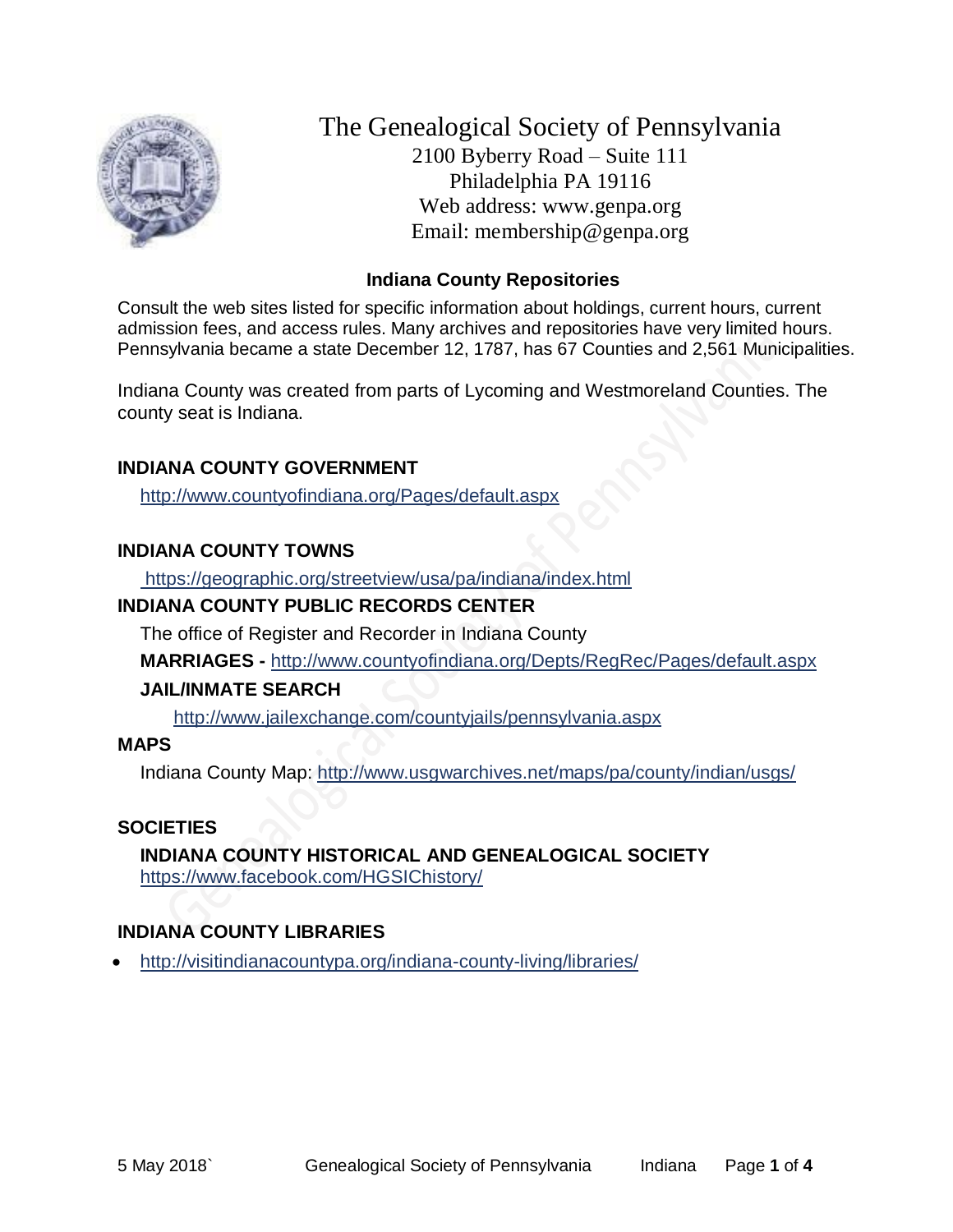

The Genealogical Society of Pennsylvania 2100 Byberry Road – Suite 111 Philadelphia PA 19116 Web address: www.genpa.org Email: membership@genpa.org

### **Indiana County Repositories**

Consult the web sites listed for specific information about holdings, current hours, current admission fees, and access rules. Many archives and repositories have very limited hours. Pennsylvania became a state December 12, 1787, has 67 Counties and 2,561 Municipalities.

Indiana County was created from parts of Lycoming and Westmoreland Counties. The county seat is Indiana.

### **INDIANA COUNTY GOVERNMENT**

<http://www.countyofindiana.org/Pages/default.aspx>

### **INDIANA COUNTY TOWNS**

<https://geographic.org/streetview/usa/pa/indiana/index.html>

### **INDIANA COUNTY PUBLIC RECORDS CENTER**

The office of Register and Recorder in Indiana County

**MARRIAGES -** <http://www.countyofindiana.org/Depts/RegRec/Pages/default.aspx>

#### **JAIL/INMATE SEARCH**

<http://www.jailexchange.com/countyjails/pennsylvania.aspx>

#### **MAPS**

Indiana County Map: <http://www.usgwarchives.net/maps/pa/county/indian/usgs/>

#### **SOCIETIES**

**INDIANA COUNTY HISTORICAL AND GENEALOGICAL SOCIETY** <https://www.facebook.com/HGSIChistory/>

# **INDIANA COUNTY LIBRARIES**

<http://visitindianacountypa.org/indiana-county-living/libraries/>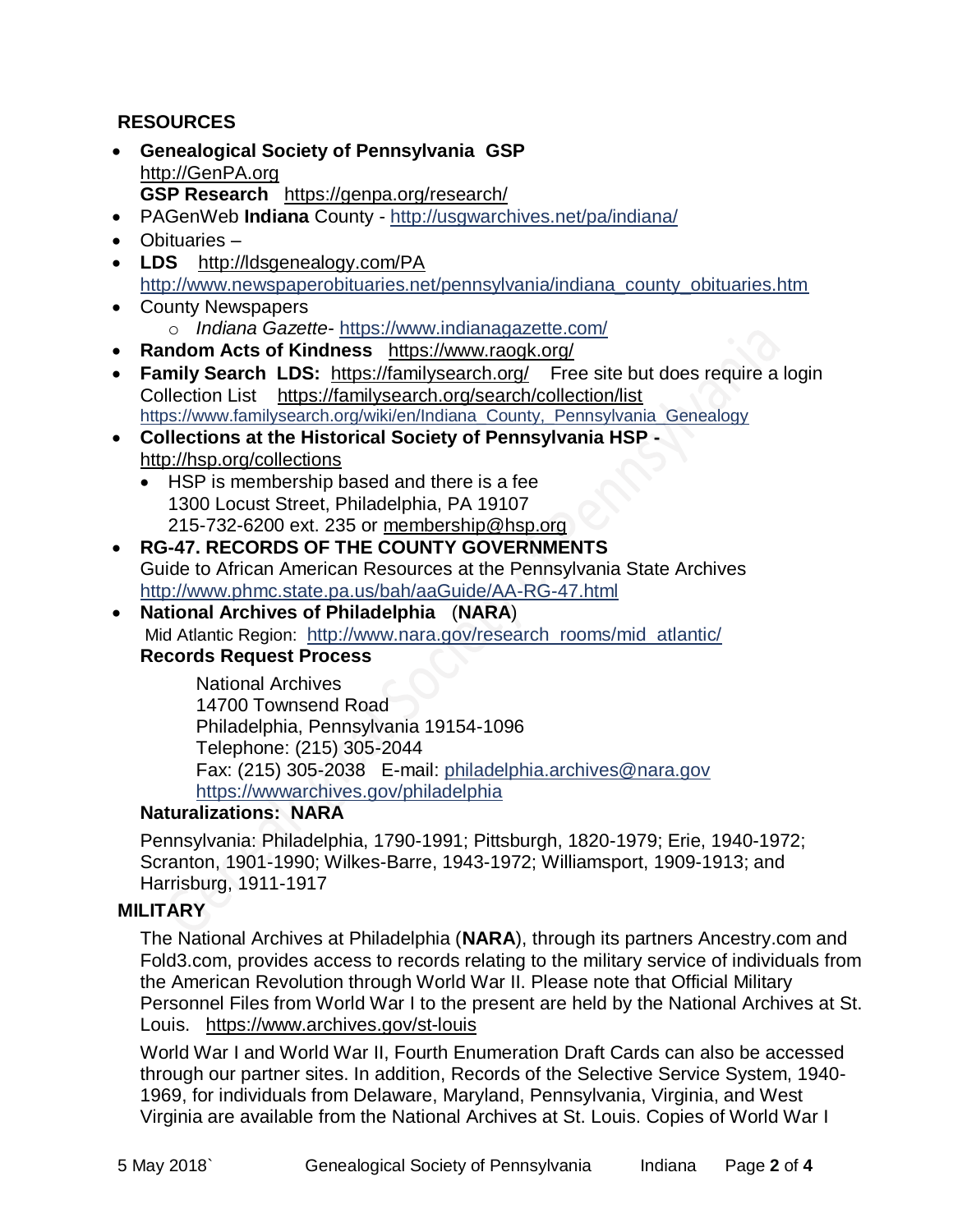# **RESOURCES**

- **Genealogical Society of Pennsylvania GSP** [http://GenPA.org](http://genpa.org/) **GSP Research** <https://genpa.org/research/>
- PAGenWeb **Indiana** County <http://usgwarchives.net/pa/indiana/>
- Obituaries –
- **LDS** <http://ldsgenealogy.com/PA> [http://www.newspaperobituaries.net/pennsylvania/indiana\\_county\\_obituaries.htm](http://www.newspaperobituaries.net/pennsylvania/indiana_county_obituaries.htm)
- County Newspapers o *Indiana Gazette*- <https://www.indianagazette.com/>
- **Random Acts of Kindness** <https://www.raogk.org/>
- **Family Search LDS:** <https://familysearch.org/>Free site but does require a login Collection List <https://familysearch.org/search/collection/list> [https://www.familysearch.org/wiki/en/Indiana\\_County,\\_Pennsylvania\\_Genealogy](https://www.familysearch.org/wiki/en/Indiana_County,_Pennsylvania_Genealogy)
- **Collections at the Historical Society of Pennsylvania HSP**  <http://hsp.org/collections>
	- HSP is membership based and there is a fee 1300 Locust Street, Philadelphia, PA 19107 215-732-6200 ext. 235 or [membership@hsp.org](mailto:membership@hsp.org)
- **RG-47. RECORDS OF THE COUNTY GOVERNMENTS** Guide to African American Resources at the Pennsylvania State Archives <http://www.phmc.state.pa.us/bah/aaGuide/AA-RG-47.html>
- **National Archives of Philadelphia** (**NARA**) Mid Atlantic Region: [http://www.nara.gov/research\\_rooms/mid\\_atlantic/](http://www.nara.gov/research_rooms/mid_atlantic/) **Records Request Process**

National Archives 14700 Townsend Road Philadelphia, Pennsylvania 19154-1096 Telephone: (215) 305-2044 Fax: (215) 305-2038 E-mail: [philadelphia.archives@nara.gov](mailto:philadelphia.archives@nara.gov) <https://wwwarchives.gov/philadelphia>

## **Naturalizations: NARA**

Pennsylvania: Philadelphia, 1790-1991; Pittsburgh, 1820-1979; Erie, 1940-1972; Scranton, 1901-1990; Wilkes-Barre, 1943-1972; Williamsport, 1909-1913; and Harrisburg, 1911-1917

#### **MILITARY**

The National Archives at Philadelphia (**NARA**), through its partners Ancestry.com and Fold3.com, provides access to records relating to the military service of individuals from the American Revolution through World War II. Please note that Official Military Personnel Files from World War I to the present are held by the National Archives at St. Louis. <https://www.archives.gov/st-louis>

World War I and World War II, Fourth Enumeration Draft Cards can also be accessed through our partner sites. In addition, Records of the Selective Service System, 1940- 1969, for individuals from Delaware, Maryland, Pennsylvania, Virginia, and West Virginia are available from the National Archives at St. Louis. Copies of World War I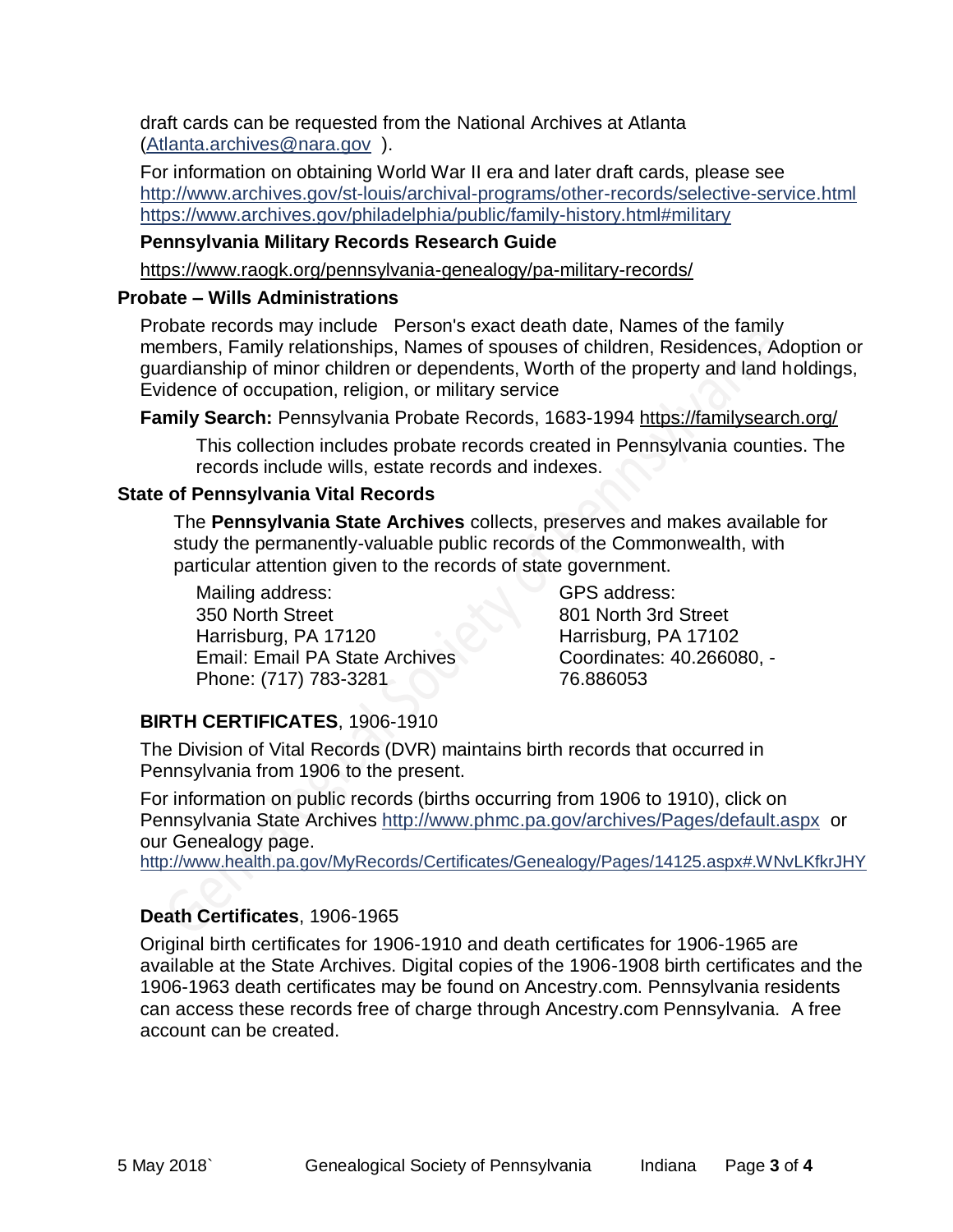draft cards can be requested from the National Archives at Atlanta [\(Atlanta.archives@nara.gov](mailto:Atlanta.archives@nara.gov) ).

For information on obtaining World War II era and later draft cards, please see <http://www.archives.gov/st-louis/archival-programs/other-records/selective-service.html> <https://www.archives.gov/philadelphia/public/family-history.html#military>

## **Pennsylvania Military Records Research Guide**

<https://www.raogk.org/pennsylvania-genealogy/pa-military-records/>

## **Probate – Wills Administrations**

Probate records may include Person's exact death date, Names of the family members, Family relationships, Names of spouses of children, Residences, Adoption or guardianship of minor children or dependents, Worth of the property and land holdings, Evidence of occupation, religion, or military service

**Family Search:** Pennsylvania Probate Records, 1683-1994 <https://familysearch.org/>

This collection includes probate records created in Pennsylvania counties. The records include wills, estate records and indexes.

## **State of Pennsylvania Vital Records**

The **Pennsylvania State Archives** collects, preserves and makes available for study the permanently-valuable public records of the Commonwealth, with particular attention given to the records of state government.

Mailing address: 350 North Street Harrisburg, PA 17120 Email: Email PA State Archives Phone: (717) 783-3281

GPS address: 801 North 3rd Street Harrisburg, PA 17102 Coordinates: 40.266080, - 76.886053

# **BIRTH CERTIFICATES**, 1906-1910

The Division of Vital Records (DVR) maintains birth records that occurred in Pennsylvania from 1906 to the present.

For information on public records (births occurring from 1906 to 1910), click on Pennsylvania State Archives <http://www.phmc.pa.gov/archives/Pages/default.aspx>or our Genealogy page.

<http://www.health.pa.gov/MyRecords/Certificates/Genealogy/Pages/14125.aspx#.WNvLKfkrJHY>

# **Death Certificates**, 1906-1965

Original birth certificates for 1906-1910 and death certificates for 1906-1965 are available at the State Archives. Digital copies of the 1906-1908 birth certificates and the 1906-1963 death certificates may be found on Ancestry.com. Pennsylvania residents can access these records free of charge through Ancestry.com Pennsylvania. A free account can be created.